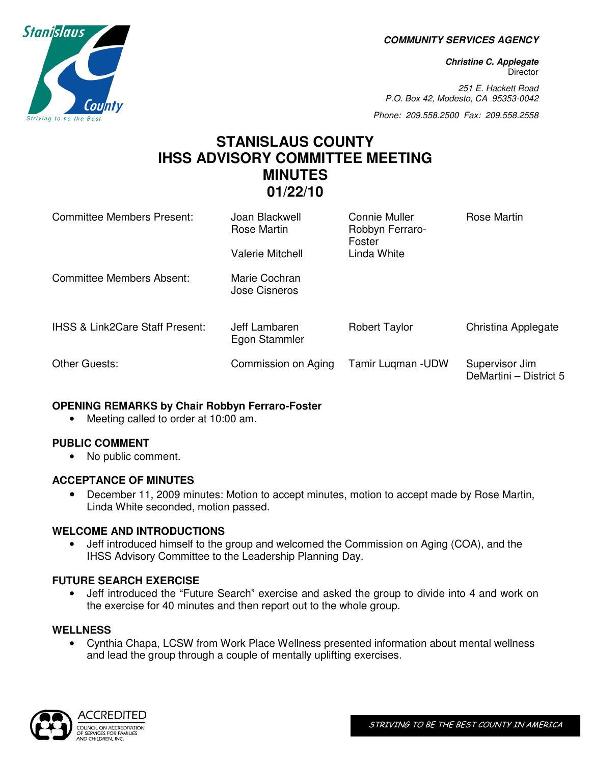**COMMUNITY SERVICES AGENCY** 

**Christine C. Applegate Director** 

251 E. Hackett Road P.O. Box 42, Modesto, CA 95353-0042

Phone: 209.558.2500 Fax: 209.558.2558

## **STANISLAUS COUNTY IHSS ADVISORY COMMITTEE MEETING MINUTES 01/22/10**

| Committee Members Present:                 | Joan Blackwell<br>Rose Martin<br>Valerie Mitchell | Connie Muller<br>Robbyn Ferraro-<br>Foster<br>Linda White | Rose Martin                              |
|--------------------------------------------|---------------------------------------------------|-----------------------------------------------------------|------------------------------------------|
| Committee Members Absent:                  | Marie Cochran<br>Jose Cisneros                    |                                                           |                                          |
| <b>IHSS &amp; Link2Care Staff Present:</b> | Jeff Lambaren<br>Egon Stammler                    | <b>Robert Taylor</b>                                      | Christina Applegate                      |
| Other Guests:                              | Commission on Aging                               | Tamir Lugman - UDW                                        | Supervisor Jim<br>DeMartini - District 5 |

#### **OPENING REMARKS by Chair Robbyn Ferraro-Foster**

• Meeting called to order at 10:00 am.

#### **PUBLIC COMMENT**

• No public comment.

#### **ACCEPTANCE OF MINUTES**

• December 11, 2009 minutes: Motion to accept minutes, motion to accept made by Rose Martin, Linda White seconded, motion passed.

#### **WELCOME AND INTRODUCTIONS**

• Jeff introduced himself to the group and welcomed the Commission on Aging (COA), and the IHSS Advisory Committee to the Leadership Planning Day.

#### **FUTURE SEARCH EXERCISE**

• Jeff introduced the "Future Search" exercise and asked the group to divide into 4 and work on the exercise for 40 minutes and then report out to the whole group.

#### **WELLNESS**

• Cynthia Chapa, LCSW from Work Place Wellness presented information about mental wellness and lead the group through a couple of mentally uplifting exercises.



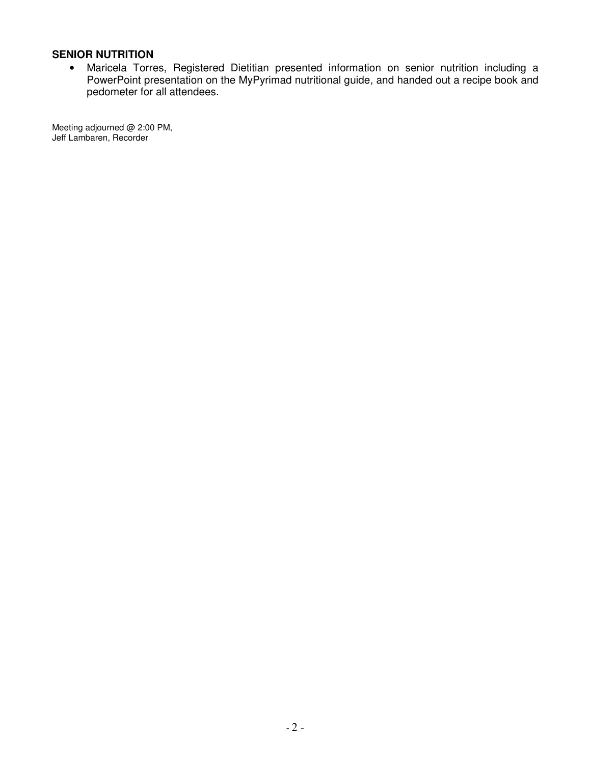#### **SENIOR NUTRITION**

• Maricela Torres, Registered Dietitian presented information on senior nutrition including a PowerPoint presentation on the MyPyrimad nutritional guide, and handed out a recipe book and pedometer for all attendees.

Meeting adjourned @ 2:00 PM, Jeff Lambaren, Recorder